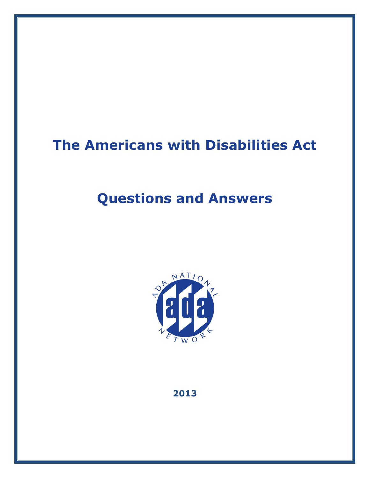## **The Americans with Disabilities Act**

## **Questions and Answers**



**2013**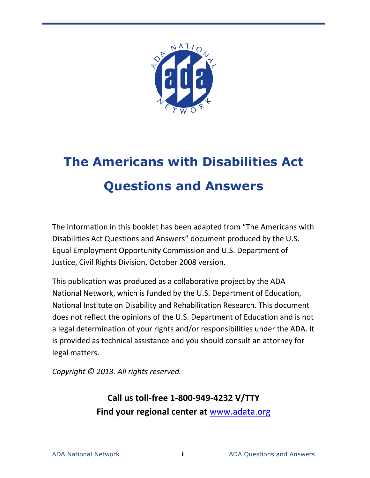

# **The Americans with Disabilities Act Questions and Answers**

The information in this booklet has been adapted from "The Americans with Disabilities Act Questions and Answers" document produced by the U.S. Equal Employment Opportunity Commission and U.S. Department of Justice, Civil Rights Division, October 2008 version.

This publication was produced as a collaborative project by the ADA National Network, which is funded by the U.S. Department of Education, National Institute on Disability and Rehabilitation Research. This document does not reflect the opinions of the U.S. Department of Education and is not a legal determination of your rights and/or responsibilities under the ADA. It is provided as technical assistance and you should consult an attorney for legal matters.

*Copyright © 2013. All rights reserved.* 

## **Call us toll-free 1-800-949-4232 V/TTY Find your regional center at** [www.adata.org](http://www.adata.org/)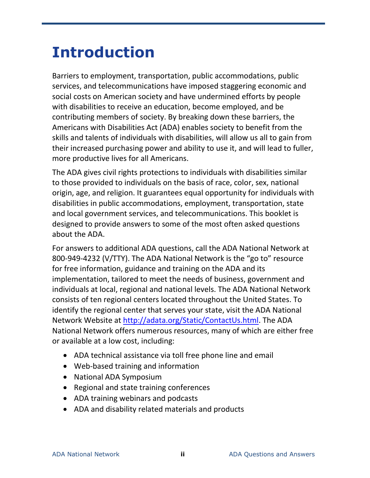## **Introduction**

Barriers to employment, transportation, public accommodations, public services, and telecommunications have imposed staggering economic and social costs on American society and have undermined efforts by people with disabilities to receive an education, become employed, and be contributing members of society. By breaking down these barriers, the Americans with Disabilities Act (ADA) enables society to benefit from the skills and talents of individuals with disabilities, will allow us all to gain from their increased purchasing power and ability to use it, and will lead to fuller, more productive lives for all Americans.

The ADA gives civil rights protections to individuals with disabilities similar to those provided to individuals on the basis of race, color, sex, national origin, age, and religion. It guarantees equal opportunity for individuals with disabilities in public accommodations, employment, transportation, state and local government services, and telecommunications. This booklet is designed to provide answers to some of the most often asked questions about the ADA.

For answers to additional ADA questions, call the ADA National Network at 800-949-4232 (V/TTY). The ADA National Network is the "go to" resource for free information, guidance and training on the ADA and its implementation, tailored to meet the needs of business, government and individuals at local, regional and national levels. The ADA National Network consists of ten regional centers located throughout the United States. To identify the regional center that serves your state, visit the ADA National Network Website at [http://adata.org/Static/ContactUs.html.](http://adata.org/Static/ContactUs.html) The ADA National Network offers numerous resources, many of which are either free or available at a low cost, including:

- ADA technical assistance via toll free phone line and email
- Web-based training and information
- National ADA Symposium
- Regional and state training conferences
- ADA training webinars and podcasts
- ADA and disability related materials and products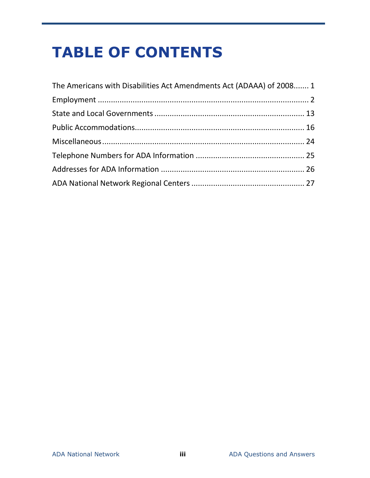## **TABLE OF CONTENTS**

| The Americans with Disabilities Act Amendments Act (ADAAA) of 2008 1 |  |
|----------------------------------------------------------------------|--|
|                                                                      |  |
|                                                                      |  |
|                                                                      |  |
|                                                                      |  |
|                                                                      |  |
|                                                                      |  |
|                                                                      |  |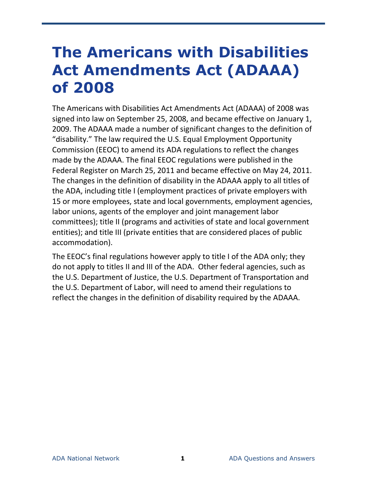## <span id="page-4-0"></span>**The Americans with Disabilities Act Amendments Act (ADAAA) of 2008**

The Americans with Disabilities Act Amendments Act (ADAAA) of 2008 was signed into law on September 25, 2008, and became effective on January 1, 2009. The ADAAA made a number of significant changes to the definition of "disability." The law required the U.S. Equal Employment Opportunity Commission (EEOC) to amend its ADA regulations to reflect the changes made by the ADAAA. The final EEOC regulations were published in the Federal Register on March 25, 2011 and became effective on May 24, 2011. The changes in the definition of disability in the ADAAA apply to all titles of the ADA, including title I (employment practices of private employers with 15 or more employees, state and local governments, employment agencies, labor unions, agents of the employer and joint management labor committees); title II (programs and activities of state and local government entities); and title III (private entities that are considered places of public accommodation).

The EEOC's final regulations however apply to title I of the ADA only; they do not apply to titles II and III of the ADA. Other federal agencies, such as the U.S. Department of Justice, the U.S. Department of Transportation and the U.S. Department of Labor, will need to amend their regulations to reflect the changes in the definition of disability required by the ADAAA.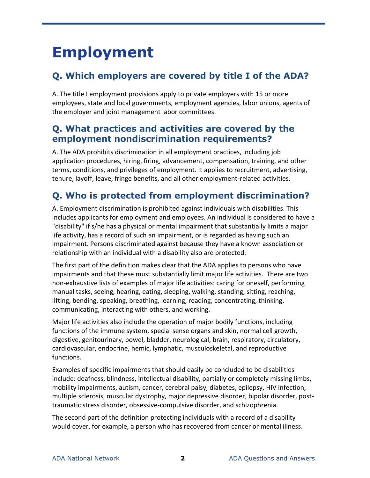## <span id="page-5-0"></span>**Employment**

## **Q. Which employers are covered by title I of the ADA?**

A. The title I employment provisions apply to private employers with 15 or more employees, state and local governments, employment agencies, labor unions, agents of the employer and joint management labor committees.

## **Q. What practices and activities are covered by the employment nondiscrimination requirements?**

A. The ADA prohibits discrimination in all employment practices, including job application procedures, hiring, firing, advancement, compensation, training, and other terms, conditions, and privileges of employment. It applies to recruitment, advertising, tenure, layoff, leave, fringe benefits, and all other employment-related activities.

## **Q. Who is protected from employment discrimination?**

A. Employment discrimination is prohibited against individuals with disabilities. This includes applicants for employment and employees. An individual is considered to have a "disability" if s/he has a physical or mental impairment that substantially limits a major life activity, has a record of such an impairment, or is regarded as having such an impairment. Persons discriminated against because they have a known association or relationship with an individual with a disability also are protected.

The first part of the definition makes clear that the ADA applies to persons who have impairments and that these must substantially limit major life activities. There are two non-exhaustive lists of examples of major life activities: caring for oneself, performing manual tasks, seeing, hearing, eating, sleeping, walking, standing, sitting, reaching, lifting, bending, speaking, breathing, learning, reading, concentrating, thinking, communicating, interacting with others, and working.

Major life activities also include the operation of major bodily functions, including functions of the immune system, special sense organs and skin, normal cell growth, digestive, genitourinary, bowel, bladder, neurological, brain, respiratory, circulatory, cardiovascular, endocrine, hemic, lymphatic, musculoskeletal, and reproductive functions.

Examples of specific impairments that should easily be concluded to be disabilities include: deafness, blindness, intellectual disability, partially or completely missing limbs, mobility impairments, autism, cancer, cerebral palsy, diabetes, epilepsy, HIV infection, multiple sclerosis, muscular dystrophy, major depressive disorder, bipolar disorder, posttraumatic stress disorder, obsessive-compulsive disorder, and schizophrenia.

The second part of the definition protecting individuals with a record of a disability would cover, for example, a person who has recovered from cancer or mental illness.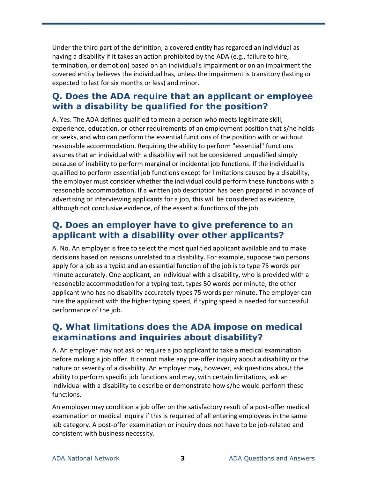Under the third part of the definition, a covered entity has regarded an individual as having a disability if it takes an action prohibited by the ADA (e.g., failure to hire, termination, or demotion) based on an individual's impairment or on an impairment the covered entity believes the individual has, unless the impairment is transitory (lasting or expected to last for six months or less) and minor.

### **Q. Does the ADA require that an applicant or employee with a disability be qualified for the position?**

A. Yes. The ADA defines qualified to mean a person who meets legitimate skill, experience, education, or other requirements of an employment position that s/he holds or seeks, and who can perform the essential functions of the position with or without reasonable accommodation. Requiring the ability to perform "essential" functions assures that an individual with a disability will not be considered unqualified simply because of inability to perform marginal or incidental job functions. If the individual is qualified to perform essential job functions except for limitations caused by a disability, the employer must consider whether the individual could perform these functions with a reasonable accommodation. If a written job description has been prepared in advance of advertising or interviewing applicants for a job, this will be considered as evidence, although not conclusive evidence, of the essential functions of the job.

#### **Q. Does an employer have to give preference to an applicant with a disability over other applicants?**

A. No. An employer is free to select the most qualified applicant available and to make decisions based on reasons unrelated to a disability. For example, suppose two persons apply for a job as a typist and an essential function of the job is to type 75 words per minute accurately. One applicant, an individual with a disability, who is provided with a reasonable accommodation for a typing test, types 50 words per minute; the other applicant who has no disability accurately types 75 words per minute. The employer can hire the applicant with the higher typing speed, if typing speed is needed for successful performance of the job.

### **Q. What limitations does the ADA impose on medical examinations and inquiries about disability?**

A. An employer may not ask or require a job applicant to take a medical examination before making a job offer. It cannot make any pre-offer inquiry about a disability or the nature or severity of a disability. An employer may, however, ask questions about the ability to perform specific job functions and may, with certain limitations, ask an individual with a disability to describe or demonstrate how s/he would perform these functions.

An employer may condition a job offer on the satisfactory result of a post-offer medical examination or medical inquiry if this is required of all entering employees in the same job category. A post-offer examination or inquiry does not have to be job-related and consistent with business necessity.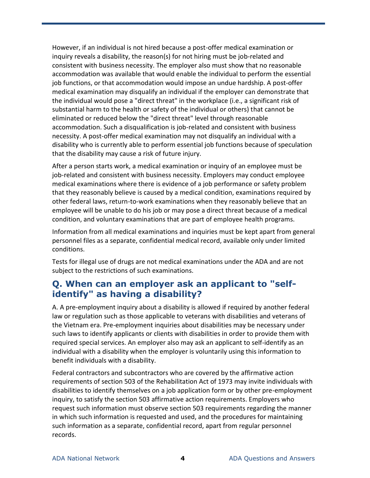However, if an individual is not hired because a post-offer medical examination or inquiry reveals a disability, the reason(s) for not hiring must be job-related and consistent with business necessity. The employer also must show that no reasonable accommodation was available that would enable the individual to perform the essential job functions, or that accommodation would impose an undue hardship. A post-offer medical examination may disqualify an individual if the employer can demonstrate that the individual would pose a "direct threat" in the workplace (i.e., a significant risk of substantial harm to the health or safety of the individual or others) that cannot be eliminated or reduced below the "direct threat" level through reasonable accommodation. Such a disqualification is job-related and consistent with business necessity. A post-offer medical examination may not disqualify an individual with a disability who is currently able to perform essential job functions because of speculation that the disability may cause a risk of future injury.

After a person starts work, a medical examination or inquiry of an employee must be job-related and consistent with business necessity. Employers may conduct employee medical examinations where there is evidence of a job performance or safety problem that they reasonably believe is caused by a medical condition, examinations required by other federal laws, return-to-work examinations when they reasonably believe that an employee will be unable to do his job or may pose a direct threat because of a medical condition, and voluntary examinations that are part of employee health programs.

Information from all medical examinations and inquiries must be kept apart from general personnel files as a separate, confidential medical record, available only under limited conditions.

Tests for illegal use of drugs are not medical examinations under the ADA and are not subject to the restrictions of such examinations.

## **Q. When can an employer ask an applicant to "selfidentify" as having a disability?**

A. A pre-employment inquiry about a disability is allowed if required by another federal law or regulation such as those applicable to veterans with disabilities and veterans of the Vietnam era. Pre-employment inquiries about disabilities may be necessary under such laws to identify applicants or clients with disabilities in order to provide them with required special services. An employer also may ask an applicant to self-identify as an individual with a disability when the employer is voluntarily using this information to benefit individuals with a disability.

Federal contractors and subcontractors who are covered by the affirmative action requirements of section 503 of the Rehabilitation Act of 1973 may invite individuals with disabilities to identify themselves on a job application form or by other pre-employment inquiry, to satisfy the section 503 affirmative action requirements. Employers who request such information must observe section 503 requirements regarding the manner in which such information is requested and used, and the procedures for maintaining such information as a separate, confidential record, apart from regular personnel records.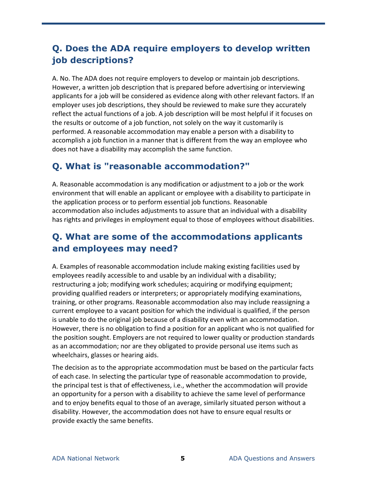## **Q. Does the ADA require employers to develop written job descriptions?**

A. No. The ADA does not require employers to develop or maintain job descriptions. However, a written job description that is prepared before advertising or interviewing applicants for a job will be considered as evidence along with other relevant factors. If an employer uses job descriptions, they should be reviewed to make sure they accurately reflect the actual functions of a job. A job description will be most helpful if it focuses on the results or outcome of a job function, not solely on the way it customarily is performed. A reasonable accommodation may enable a person with a disability to accomplish a job function in a manner that is different from the way an employee who does not have a disability may accomplish the same function.

## **Q. What is "reasonable accommodation?"**

A. Reasonable accommodation is any modification or adjustment to a job or the work environment that will enable an applicant or employee with a disability to participate in the application process or to perform essential job functions. Reasonable accommodation also includes adjustments to assure that an individual with a disability has rights and privileges in employment equal to those of employees without disabilities.

## **Q. What are some of the accommodations applicants and employees may need?**

A. Examples of reasonable accommodation include making existing facilities used by employees readily accessible to and usable by an individual with a disability; restructuring a job; modifying work schedules; acquiring or modifying equipment; providing qualified readers or interpreters; or appropriately modifying examinations, training, or other programs. Reasonable accommodation also may include reassigning a current employee to a vacant position for which the individual is qualified, if the person is unable to do the original job because of a disability even with an accommodation. However, there is no obligation to find a position for an applicant who is not qualified for the position sought. Employers are not required to lower quality or production standards as an accommodation; nor are they obligated to provide personal use items such as wheelchairs, glasses or hearing aids.

The decision as to the appropriate accommodation must be based on the particular facts of each case. In selecting the particular type of reasonable accommodation to provide, the principal test is that of effectiveness, i.e., whether the accommodation will provide an opportunity for a person with a disability to achieve the same level of performance and to enjoy benefits equal to those of an average, similarly situated person without a disability. However, the accommodation does not have to ensure equal results or provide exactly the same benefits.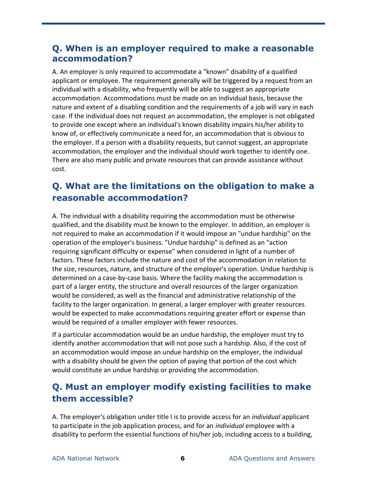#### **Q. When is an employer required to make a reasonable accommodation?**

A. An employer is only required to accommodate a "known" disability of a qualified applicant or employee. The requirement generally will be triggered by a request from an individual with a disability, who frequently will be able to suggest an appropriate accommodation. Accommodations must be made on an individual basis, because the nature and extent of a disabling condition and the requirements of a job will vary in each case. If the individual does not request an accommodation, the employer is not obligated to provide one except where an individual's known disability impairs his/her ability to know of, or effectively communicate a need for, an accommodation that is obvious to the employer. If a person with a disability requests, but cannot suggest, an appropriate accommodation, the employer and the individual should work together to identify one. There are also many public and private resources that can provide assistance without cost.

## **Q. What are the limitations on the obligation to make a reasonable accommodation?**

A. The individual with a disability requiring the accommodation must be otherwise qualified, and the disability must be known to the employer. In addition, an employer is not required to make an accommodation if it would impose an "undue hardship" on the operation of the employer's business. "Undue hardship" is defined as an "action requiring significant difficulty or expense" when considered in light of a number of factors. These factors include the nature and cost of the accommodation in relation to the size, resources, nature, and structure of the employer's operation. Undue hardship is determined on a case-by-case basis. Where the facility making the accommodation is part of a larger entity, the structure and overall resources of the larger organization would be considered, as well as the financial and administrative relationship of the facility to the larger organization. In general, a larger employer with greater resources would be expected to make accommodations requiring greater effort or expense than would be required of a smaller employer with fewer resources.

If a particular accommodation would be an undue hardship, the employer must try to identify another accommodation that will not pose such a hardship. Also, if the cost of an accommodation would impose an undue hardship on the employer, the individual with a disability should be given the option of paying that portion of the cost which would constitute an undue hardship or providing the accommodation.

## **Q. Must an employer modify existing facilities to make them accessible?**

A. The employer's obligation under title I is to provide access for an *individual* applicant to participate in the job application process, and for an *individual* employee with a disability to perform the essential functions of his/her job, including access to a building,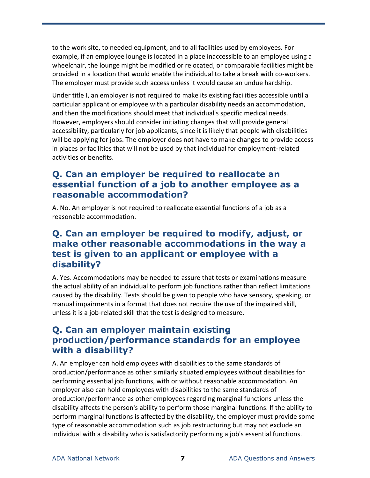to the work site, to needed equipment, and to all facilities used by employees. For example, if an employee lounge is located in a place inaccessible to an employee using a wheelchair, the lounge might be modified or relocated, or comparable facilities might be provided in a location that would enable the individual to take a break with co-workers. The employer must provide such access unless it would cause an undue hardship.

Under title I, an employer is not required to make its existing facilities accessible until a particular applicant or employee with a particular disability needs an accommodation, and then the modifications should meet that individual's specific medical needs. However, employers should consider initiating changes that will provide general accessibility, particularly for job applicants, since it is likely that people with disabilities will be applying for jobs. The employer does not have to make changes to provide access in places or facilities that will not be used by that individual for employment-related activities or benefits.

### **Q. Can an employer be required to reallocate an essential function of a job to another employee as a reasonable accommodation?**

A. No. An employer is not required to reallocate essential functions of a job as a reasonable accommodation.

### **Q. Can an employer be required to modify, adjust, or make other reasonable accommodations in the way a test is given to an applicant or employee with a disability?**

A. Yes. Accommodations may be needed to assure that tests or examinations measure the actual ability of an individual to perform job functions rather than reflect limitations caused by the disability. Tests should be given to people who have sensory, speaking, or manual impairments in a format that does not require the use of the impaired skill, unless it is a job-related skill that the test is designed to measure.

## **Q. Can an employer maintain existing production/performance standards for an employee with a disability?**

A. An employer can hold employees with disabilities to the same standards of production/performance as other similarly situated employees without disabilities for performing essential job functions, with or without reasonable accommodation. An employer also can hold employees with disabilities to the same standards of production/performance as other employees regarding marginal functions unless the disability affects the person's ability to perform those marginal functions. If the ability to perform marginal functions is affected by the disability, the employer must provide some type of reasonable accommodation such as job restructuring but may not exclude an individual with a disability who is satisfactorily performing a job's essential functions.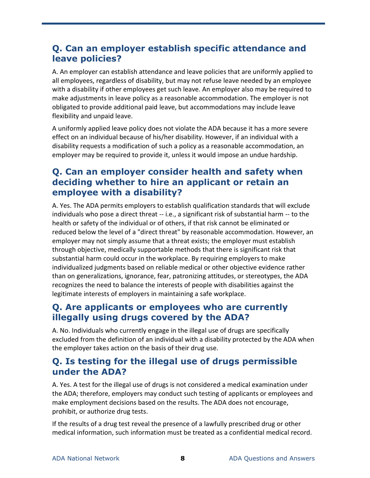## **Q. Can an employer establish specific attendance and leave policies?**

A. An employer can establish attendance and leave policies that are uniformly applied to all employees, regardless of disability, but may not refuse leave needed by an employee with a disability if other employees get such leave. An employer also may be required to make adjustments in leave policy as a reasonable accommodation. The employer is not obligated to provide additional paid leave, but accommodations may include leave flexibility and unpaid leave.

A uniformly applied leave policy does not violate the ADA because it has a more severe effect on an individual because of his/her disability. However, if an individual with a disability requests a modification of such a policy as a reasonable accommodation, an employer may be required to provide it, unless it would impose an undue hardship.

## **Q. Can an employer consider health and safety when deciding whether to hire an applicant or retain an employee with a disability?**

A. Yes. The ADA permits employers to establish qualification standards that will exclude individuals who pose a direct threat -- i.e., a significant risk of substantial harm -- to the health or safety of the individual or of others, if that risk cannot be eliminated or reduced below the level of a "direct threat" by reasonable accommodation. However, an employer may not simply assume that a threat exists; the employer must establish through objective, medically supportable methods that there is significant risk that substantial harm could occur in the workplace. By requiring employers to make individualized judgments based on reliable medical or other objective evidence rather than on generalizations, ignorance, fear, patronizing attitudes, or stereotypes, the ADA recognizes the need to balance the interests of people with disabilities against the legitimate interests of employers in maintaining a safe workplace.

### **Q. Are applicants or employees who are currently illegally using drugs covered by the ADA?**

A. No. Individuals who currently engage in the illegal use of drugs are specifically excluded from the definition of an individual with a disability protected by the ADA when the employer takes action on the basis of their drug use.

## **Q. Is testing for the illegal use of drugs permissible under the ADA?**

A. Yes. A test for the illegal use of drugs is not considered a medical examination under the ADA; therefore, employers may conduct such testing of applicants or employees and make employment decisions based on the results. The ADA does not encourage, prohibit, or authorize drug tests.

If the results of a drug test reveal the presence of a lawfully prescribed drug or other medical information, such information must be treated as a confidential medical record.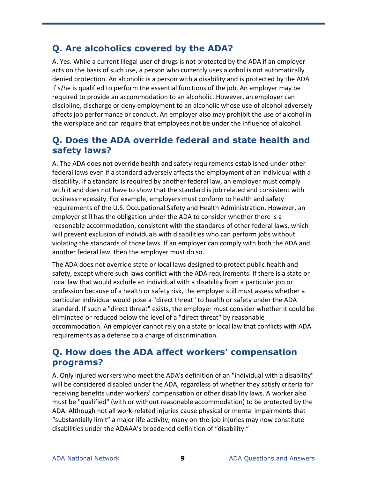## **Q. Are alcoholics covered by the ADA?**

A. Yes. While a current illegal user of drugs is not protected by the ADA if an employer acts on the basis of such use, a person who currently uses alcohol is not automatically denied protection. An alcoholic is a person with a disability and is protected by the ADA if s/he is qualified to perform the essential functions of the job. An employer may be required to provide an accommodation to an alcoholic. However, an employer can discipline, discharge or deny employment to an alcoholic whose use of alcohol adversely affects job performance or conduct. An employer also may prohibit the use of alcohol in the workplace and can require that employees not be under the influence of alcohol.

## **Q. Does the ADA override federal and state health and safety laws?**

A. The ADA does not override health and safety requirements established under other federal laws even if a standard adversely affects the employment of an individual with a disability. If a standard is required by another federal law, an employer must comply with it and does not have to show that the standard is job related and consistent with business necessity. For example, employers must conform to health and safety requirements of the U.S. Occupational Safety and Health Administration. However, an employer still has the obligation under the ADA to consider whether there is a reasonable accommodation, consistent with the standards of other federal laws, which will prevent exclusion of individuals with disabilities who can perform jobs without violating the standards of those laws. If an employer can comply with both the ADA and another federal law, then the employer must do so.

The ADA does not override state or local laws designed to protect public health and safety, except where such laws conflict with the ADA requirements. If there is a state or local law that would exclude an individual with a disability from a particular job or profession because of a health or safety risk, the employer still must assess whether a particular individual would pose a "direct threat" to health or safety under the ADA standard. If such a "direct threat" exists, the employer must consider whether it could be eliminated or reduced below the level of a "direct threat" by reasonable accommodation. An employer cannot rely on a state or local law that conflicts with ADA requirements as a defense to a charge of discrimination.

## **Q. How does the ADA affect workers' compensation programs?**

A. Only injured workers who meet the ADA's definition of an "individual with a disability" will be considered disabled under the ADA, regardless of whether they satisfy criteria for receiving benefits under workers' compensation or other disability laws. A worker also must be "qualified" (with or without reasonable accommodation) to be protected by the ADA. Although not all work-related injuries cause physical or mental impairments that "substantially limit" a major life activity, many on-the-job injuries may now constitute disabilities under the ADAAA's broadened definition of "disability."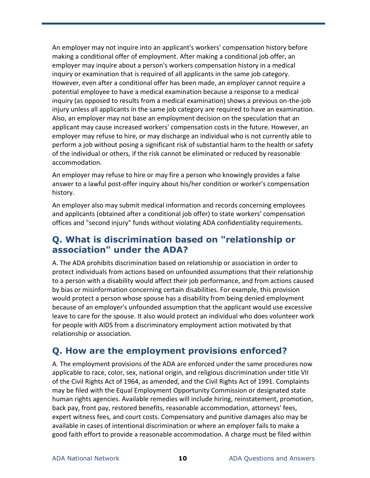An employer may not inquire into an applicant's workers' compensation history before making a conditional offer of employment. After making a conditional job offer, an employer may inquire about a person's workers compensation history in a medical inquiry or examination that is required of all applicants in the same job category. However, even after a conditional offer has been made, an employer cannot require a potential employee to have a medical examination because a response to a medical inquiry (as opposed to results from a medical examination) shows a previous on-the-job injury unless all applicants in the same job category are required to have an examination. Also, an employer may not base an employment decision on the speculation that an applicant may cause increased workers' compensation costs in the future. However, an employer may refuse to hire, or may discharge an individual who is not currently able to perform a job without posing a significant risk of substantial harm to the health or safety of the individual or others, if the risk cannot be eliminated or reduced by reasonable accommodation.

An employer may refuse to hire or may fire a person who knowingly provides a false answer to a lawful post-offer inquiry about his/her condition or worker's compensation history.

An employer also may submit medical information and records concerning employees and applicants (obtained after a conditional job offer) to state workers' compensation offices and "second injury" funds without violating ADA confidentiality requirements.

## **Q. What is discrimination based on "relationship or association" under the ADA?**

A. The ADA prohibits discrimination based on relationship or association in order to protect individuals from actions based on unfounded assumptions that their relationship to a person with a disability would affect their job performance, and from actions caused by bias or misinformation concerning certain disabilities. For example, this provision would protect a person whose spouse has a disability from being denied employment because of an employer's unfounded assumption that the applicant would use excessive leave to care for the spouse. It also would protect an individual who does volunteer work for people with AIDS from a discriminatory employment action motivated by that relationship or association.

## **Q. How are the employment provisions enforced?**

A. The employment provisions of the ADA are enforced under the same procedures now applicable to race, color, sex, national origin, and religious discrimination under title VII of the Civil Rights Act of 1964, as amended, and the Civil Rights Act of 1991. Complaints may be filed with the Equal Employment Opportunity Commission or designated state human rights agencies. Available remedies will include hiring, reinstatement, promotion, back pay, front pay, restored benefits, reasonable accommodation, attorneys' fees, expert witness fees, and court costs. Compensatory and punitive damages also may be available in cases of intentional discrimination or where an employer fails to make a good faith effort to provide a reasonable accommodation. A charge must be filed within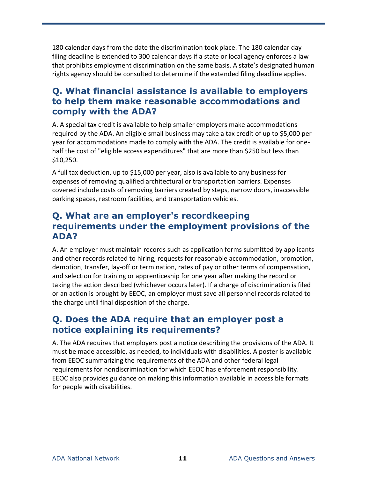180 calendar days from the date the discrimination took place. The 180 calendar day filing deadline is extended to 300 calendar days if a state or local agency enforces a law that prohibits employment discrimination on the same basis. A state's designated human rights agency should be consulted to determine if the extended filing deadline applies.

## **Q. What financial assistance is available to employers to help them make reasonable accommodations and comply with the ADA?**

A. A special tax credit is available to help smaller employers make accommodations required by the ADA. An eligible small business may take a tax credit of up to \$5,000 per year for accommodations made to comply with the ADA. The credit is available for onehalf the cost of "eligible access expenditures" that are more than \$250 but less than \$10,250.

A full tax deduction, up to \$15,000 per year, also is available to any business for expenses of removing qualified architectural or transportation barriers. Expenses covered include costs of removing barriers created by steps, narrow doors, inaccessible parking spaces, restroom facilities, and transportation vehicles.

## **Q. What are an employer's recordkeeping requirements under the employment provisions of the ADA?**

A. An employer must maintain records such as application forms submitted by applicants and other records related to hiring, requests for reasonable accommodation, promotion, demotion, transfer, lay-off or termination, rates of pay or other terms of compensation, and selection for training or apprenticeship for one year after making the record or taking the action described (whichever occurs later). If a charge of discrimination is filed or an action is brought by EEOC, an employer must save all personnel records related to the charge until final disposition of the charge.

## **Q. Does the ADA require that an employer post a notice explaining its requirements?**

A. The ADA requires that employers post a notice describing the provisions of the ADA. It must be made accessible, as needed, to individuals with disabilities. A poster is available from EEOC summarizing the requirements of the ADA and other federal legal requirements for nondiscrimination for which EEOC has enforcement responsibility. EEOC also provides guidance on making this information available in accessible formats for people with disabilities.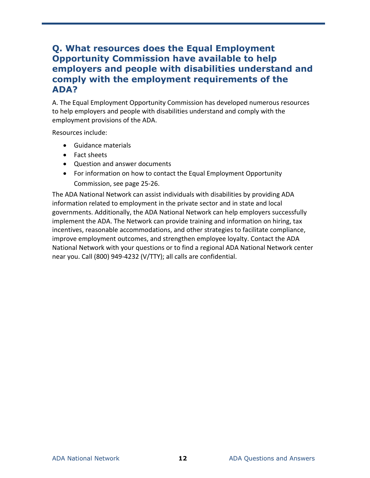#### **Q. What resources does the Equal Employment Opportunity Commission have available to help employers and people with disabilities understand and comply with the employment requirements of the ADA?**

A. The Equal Employment Opportunity Commission has developed numerous resources to help employers and people with disabilities understand and comply with the employment provisions of the ADA.

Resources include:

- Guidance materials
- Fact sheets
- Question and answer documents
- For information on how to contact the Equal Employment Opportunity Commission, see page 25-26.

The ADA National Network can assist individuals with disabilities by providing ADA information related to employment in the private sector and in state and local governments. Additionally, the ADA National Network can help employers successfully implement the ADA. The Network can provide training and information on hiring, tax incentives, reasonable accommodations, and other strategies to facilitate compliance, improve employment outcomes, and strengthen employee loyalty. Contact the ADA National Network with your questions or to find a regional ADA National Network center near you. Call (800) 949-4232 (V/TTY); all calls are confidential.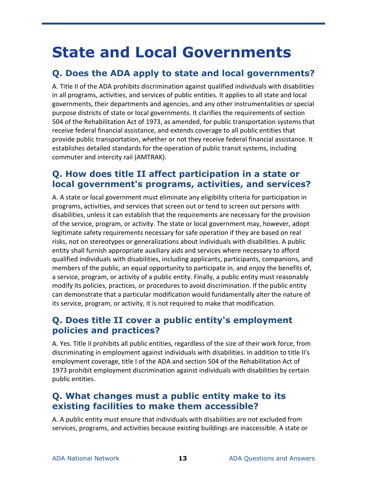## <span id="page-16-0"></span>**State and Local Governments**

## **Q. Does the ADA apply to state and local governments?**

A. Title II of the ADA prohibits discrimination against qualified individuals with disabilities in all programs, activities, and services of public entities. It applies to all state and local governments, their departments and agencies, and any other instrumentalities or special purpose districts of state or local governments. It clarifies the requirements of section 504 of the Rehabilitation Act of 1973, as amended, for public transportation systems that receive federal financial assistance, and extends coverage to all public entities that provide public transportation, whether or not they receive federal financial assistance. It establishes detailed standards for the operation of public transit systems, including commuter and intercity rail (AMTRAK).

## **Q. How does title II affect participation in a state or local government's programs, activities, and services?**

A. A state or local government must eliminate any eligibility criteria for participation in programs, activities, and services that screen out or tend to screen out persons with disabilities, unless it can establish that the requirements are necessary for the provision of the service, program, or activity. The state or local government may, however, adopt legitimate safety requirements necessary for safe operation if they are based on real risks, not on stereotypes or generalizations about individuals with disabilities. A public entity shall furnish appropriate auxiliary aids and services where necessary to afford qualified individuals with disabilities, including applicants, participants, companions, and members of the public, an equal opportunity to participate in, and enjoy the benefits of, a service, program, or activity of a public entity. Finally, a public entity must reasonably modify its policies, practices, or procedures to avoid discrimination. If the public entity can demonstrate that a particular modification would fundamentally alter the nature of its service, program, or activity, it is not required to make that modification.

## **Q. Does title II cover a public entity's employment policies and practices?**

A. Yes. Title II prohibits all public entities, regardless of the size of their work force, from discriminating in employment against individuals with disabilities. In addition to title II's employment coverage, title I of the ADA and section 504 of the Rehabilitation Act of 1973 prohibit employment discrimination against individuals with disabilities by certain public entities.

## **Q. What changes must a public entity make to its existing facilities to make them accessible?**

A. A public entity must ensure that individuals with disabilities are not excluded from services, programs, and activities because existing buildings are inaccessible. A state or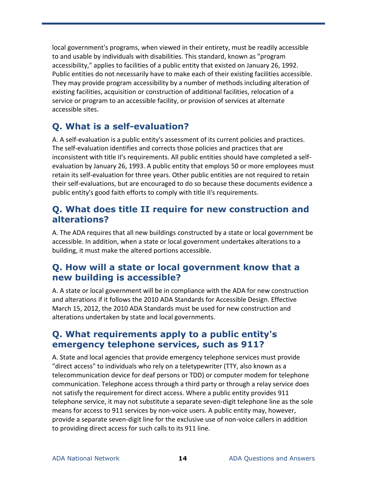local government's programs, when viewed in their entirety, must be readily accessible to and usable by individuals with disabilities. This standard, known as "program accessibility," applies to facilities of a public entity that existed on January 26, 1992. Public entities do not necessarily have to make each of their existing facilities accessible. They may provide program accessibility by a number of methods including alteration of existing facilities, acquisition or construction of additional facilities, relocation of a service or program to an accessible facility, or provision of services at alternate accessible sites.

## **Q. What is a self-evaluation?**

A. A self-evaluation is a public entity's assessment of its current policies and practices. The self-evaluation identifies and corrects those policies and practices that are inconsistent with title II's requirements. All public entities should have completed a selfevaluation by January 26, 1993. A public entity that employs 50 or more employees must retain its self-evaluation for three years. Other public entities are not required to retain their self-evaluations, but are encouraged to do so because these documents evidence a public entity's good faith efforts to comply with title II's requirements.

## **Q. What does title II require for new construction and alterations?**

A. The ADA requires that all new buildings constructed by a state or local government be accessible. In addition, when a state or local government undertakes alterations to a building, it must make the altered portions accessible.

## **Q. How will a state or local government know that a new building is accessible?**

A. A state or local government will be in compliance with the ADA for new construction and alterations if it follows the 2010 ADA Standards for Accessible Design. Effective March 15, 2012, the 2010 ADA Standards must be used for new construction and alterations undertaken by state and local governments.

### **Q. What requirements apply to a public entity's emergency telephone services, such as 911?**

A. State and local agencies that provide emergency telephone services must provide "direct access" to individuals who rely on a teletypewriter (TTY, also known as a telecommunication device for deaf persons or TDD) or computer modem for telephone communication. Telephone access through a third party or through a relay service does not satisfy the requirement for direct access. Where a public entity provides 911 telephone service, it may not substitute a separate seven-digit telephone line as the sole means for access to 911 services by non-voice users. A public entity may, however, provide a separate seven-digit line for the exclusive use of non-voice callers in addition to providing direct access for such calls to its 911 line.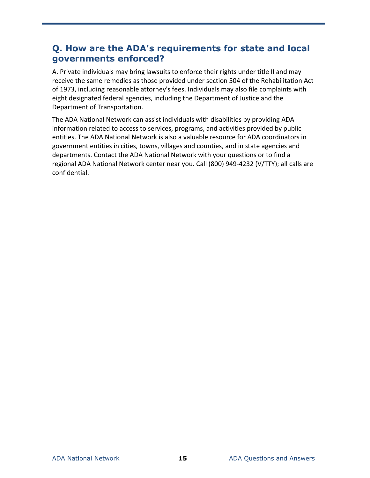### **Q. How are the ADA's requirements for state and local governments enforced?**

A. Private individuals may bring lawsuits to enforce their rights under title II and may receive the same remedies as those provided under section 504 of the Rehabilitation Act of 1973, including reasonable attorney's fees. Individuals may also file complaints with eight designated federal agencies, including the Department of Justice and the Department of Transportation.

The ADA National Network can assist individuals with disabilities by providing ADA information related to access to services, programs, and activities provided by public entities. The ADA National Network is also a valuable resource for ADA coordinators in government entities in cities, towns, villages and counties, and in state agencies and departments. Contact the ADA National Network with your questions or to find a regional ADA National Network center near you. Call (800) 949-4232 (V/TTY); all calls are confidential.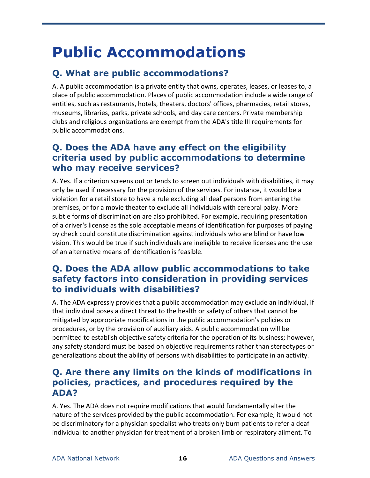## <span id="page-19-0"></span>**Public Accommodations**

## **Q. What are public accommodations?**

A. A public accommodation is a private entity that owns, operates, leases, or leases to, a place of public accommodation. Places of public accommodation include a wide range of entities, such as restaurants, hotels, theaters, doctors' offices, pharmacies, retail stores, museums, libraries, parks, private schools, and day care centers. Private membership clubs and religious organizations are exempt from the ADA's title III requirements for public accommodations.

## **Q. Does the ADA have any effect on the eligibility criteria used by public accommodations to determine who may receive services?**

A. Yes. If a criterion screens out or tends to screen out individuals with disabilities, it may only be used if necessary for the provision of the services. For instance, it would be a violation for a retail store to have a rule excluding all deaf persons from entering the premises, or for a movie theater to exclude all individuals with cerebral palsy. More subtle forms of discrimination are also prohibited. For example, requiring presentation of a driver's license as the sole acceptable means of identification for purposes of paying by check could constitute discrimination against individuals who are blind or have low vision. This would be true if such individuals are ineligible to receive licenses and the use of an alternative means of identification is feasible.

## **Q. Does the ADA allow public accommodations to take safety factors into consideration in providing services to individuals with disabilities?**

A. The ADA expressly provides that a public accommodation may exclude an individual, if that individual poses a direct threat to the health or safety of others that cannot be mitigated by appropriate modifications in the public accommodation's policies or procedures, or by the provision of auxiliary aids. A public accommodation will be permitted to establish objective safety criteria for the operation of its business; however, any safety standard must be based on objective requirements rather than stereotypes or generalizations about the ability of persons with disabilities to participate in an activity.

## **Q. Are there any limits on the kinds of modifications in policies, practices, and procedures required by the ADA?**

A. Yes. The ADA does not require modifications that would fundamentally alter the nature of the services provided by the public accommodation. For example, it would not be discriminatory for a physician specialist who treats only burn patients to refer a deaf individual to another physician for treatment of a broken limb or respiratory ailment. To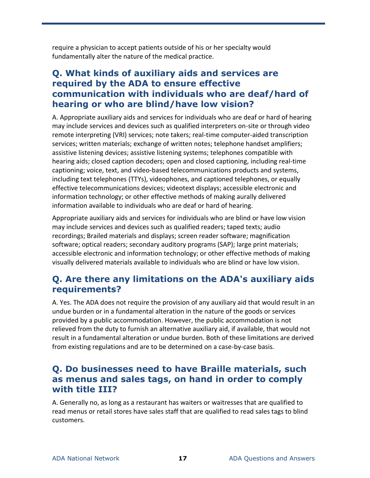require a physician to accept patients outside of his or her specialty would fundamentally alter the nature of the medical practice.

## **Q. What kinds of auxiliary aids and services are required by the ADA to ensure effective communication with individuals who are deaf/hard of hearing or who are blind/have low vision?**

A. Appropriate auxiliary aids and services for individuals who are deaf or hard of hearing may include services and devices such as qualified interpreters on-site or through video remote interpreting (VRI) services; note takers; real-time computer-aided transcription services; written materials; exchange of written notes; telephone handset amplifiers; assistive listening devices; assistive listening systems; telephones compatible with hearing aids; closed caption decoders; open and closed captioning, including real-time captioning; voice, text, and video-based telecommunications products and systems, including text telephones (TTYs), videophones, and captioned telephones, or equally effective telecommunications devices; videotext displays; accessible electronic and information technology; or other effective methods of making aurally delivered information available to individuals who are deaf or hard of hearing.

Appropriate auxiliary aids and services for individuals who are blind or have low vision may include services and devices such as qualified readers; taped texts; audio recordings; Brailed materials and displays; screen reader software; magnification software; optical readers; secondary auditory programs (SAP); large print materials; accessible electronic and information technology; or other effective methods of making visually delivered materials available to individuals who are blind or have low vision.

### **Q. Are there any limitations on the ADA's auxiliary aids requirements?**

A. Yes. The ADA does not require the provision of any auxiliary aid that would result in an undue burden or in a fundamental alteration in the nature of the goods or services provided by a public accommodation. However, the public accommodation is not relieved from the duty to furnish an alternative auxiliary aid, if available, that would not result in a fundamental alteration or undue burden. Both of these limitations are derived from existing regulations and are to be determined on a case-by-case basis.

### **Q. Do businesses need to have Braille materials, such as menus and sales tags, on hand in order to comply with title III?**

A. Generally no, as long as a restaurant has waiters or waitresses that are qualified to read menus or retail stores have sales staff that are qualified to read sales tags to blind customers.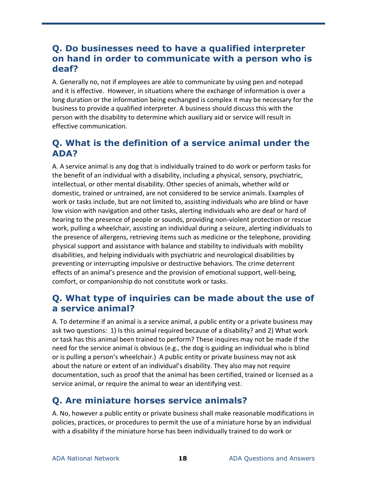## **Q. Do businesses need to have a qualified interpreter on hand in order to communicate with a person who is deaf?**

A. Generally no, not if employees are able to communicate by using pen and notepad and it is effective. However, in situations where the exchange of information is over a long duration or the information being exchanged is complex it may be necessary for the business to provide a qualified interpreter. A business should discuss this with the person with the disability to determine which auxiliary aid or service will result in effective communication.

## **Q. What is the definition of a service animal under the ADA?**

A. A service animal is any dog that is individually trained to do work or perform tasks for the benefit of an individual with a disability, including a physical, sensory, psychiatric, intellectual, or other mental disability. Other species of animals, whether wild or domestic, trained or untrained, are not considered to be service animals. Examples of work or tasks include, but are not limited to, assisting individuals who are blind or have low vision with navigation and other tasks, alerting individuals who are deaf or hard of hearing to the presence of people or sounds, providing non-violent protection or rescue work, pulling a wheelchair, assisting an individual during a seizure, alerting individuals to the presence of allergens, retrieving items such as medicine or the telephone, providing physical support and assistance with balance and stability to individuals with mobility disabilities, and helping individuals with psychiatric and neurological disabilities by preventing or interrupting impulsive or destructive behaviors. The crime deterrent effects of an animal's presence and the provision of emotional support, well-being, comfort, or companionship do not constitute work or tasks.

## **Q. What type of inquiries can be made about the use of a service animal?**

A. To determine if an animal is a service animal, a public entity or a private business may ask two questions: 1) Is this animal required because of a disability? and 2) What work or task has this animal been trained to perform? These inquires may not be made if the need for the service animal is obvious (e.g., the dog is guiding an individual who is blind or is pulling a person's wheelchair.) A public entity or private business may not ask about the nature or extent of an individual's disability. They also may not require documentation, such as proof that the animal has been certified, trained or licensed as a service animal, or require the animal to wear an identifying vest.

## **Q. Are miniature horses service animals?**

A. No, however a public entity or private business shall make reasonable modifications in policies, practices, or procedures to permit the use of a miniature horse by an individual with a disability if the miniature horse has been individually trained to do work or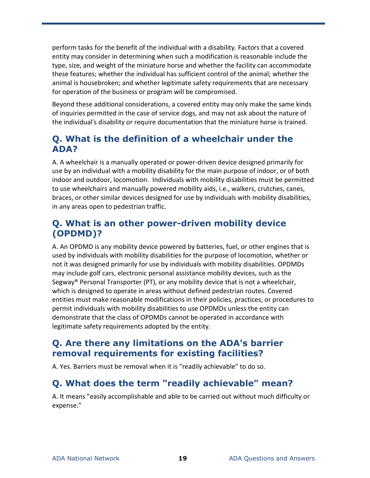perform tasks for the benefit of the individual with a disability. Factors that a covered entity may consider in determining when such a modification is reasonable include the type, size, and weight of the miniature horse and whether the facility can accommodate these features; whether the individual has sufficient control of the animal; whether the animal is housebroken; and whether legitimate safety requirements that are necessary for operation of the business or program will be compromised.

Beyond these additional considerations, a covered entity may only make the same kinds of inquiries permitted in the case of service dogs, and may not ask about the nature of the individual's disability or require documentation that the miniature horse is trained.

## **Q. What is the definition of a wheelchair under the ADA?**

A. A wheelchair is a manually operated or power-driven device designed primarily for use by an individual with a mobility disability for the main purpose of indoor, or of both indoor and outdoor, locomotion. Individuals with mobility disabilities must be permitted to use wheelchairs and manually powered mobility aids, i.e., walkers, crutches, canes, braces, or other similar devices designed for use by individuals with mobility disabilities, in any areas open to pedestrian traffic.

### **Q. What is an other power-driven mobility device (OPDMD)?**

A. An OPDMD is any mobility device powered by batteries, fuel, or other engines that is used by individuals with mobility disabilities for the purpose of locomotion, whether or not it was designed primarily for use by individuals with mobility disabilities. OPDMDs may include golf cars, electronic personal assistance mobility devices, such as the Segway® Personal Transporter (PT), or any mobility device that is not a wheelchair, which is designed to operate in areas without defined pedestrian routes. Covered entities must make reasonable modifications in their policies, practices, or procedures to permit individuals with mobility disabilities to use OPDMDs unless the entity can demonstrate that the class of OPDMDs cannot be operated in accordance with legitimate safety requirements adopted by the entity.

## **Q. Are there any limitations on the ADA's barrier removal requirements for existing facilities?**

A. Yes. Barriers must be removal when it is "readily achievable" to do so.

## **Q. What does the term "readily achievable" mean?**

A. It means "easily accomplishable and able to be carried out without much difficulty or expense."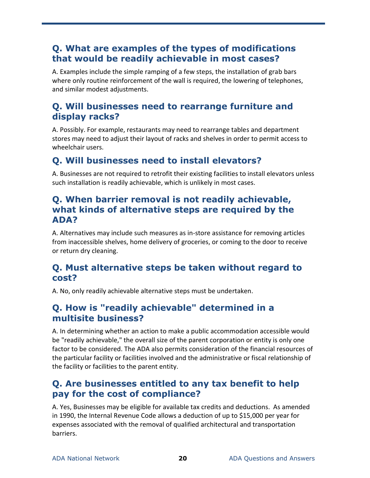## **Q. What are examples of the types of modifications that would be readily achievable in most cases?**

A. Examples include the simple ramping of a few steps, the installation of grab bars where only routine reinforcement of the wall is required, the lowering of telephones, and similar modest adjustments.

## **Q. Will businesses need to rearrange furniture and display racks?**

A. Possibly. For example, restaurants may need to rearrange tables and department stores may need to adjust their layout of racks and shelves in order to permit access to wheelchair users.

## **Q. Will businesses need to install elevators?**

A. Businesses are not required to retrofit their existing facilities to install elevators unless such installation is readily achievable, which is unlikely in most cases.

## **Q. When barrier removal is not readily achievable, what kinds of alternative steps are required by the ADA?**

A. Alternatives may include such measures as in-store assistance for removing articles from inaccessible shelves, home delivery of groceries, or coming to the door to receive or return dry cleaning.

## **Q. Must alternative steps be taken without regard to cost?**

A. No, only readily achievable alternative steps must be undertaken.

## **Q. How is "readily achievable" determined in a multisite business?**

A. In determining whether an action to make a public accommodation accessible would be "readily achievable," the overall size of the parent corporation or entity is only one factor to be considered. The ADA also permits consideration of the financial resources of the particular facility or facilities involved and the administrative or fiscal relationship of the facility or facilities to the parent entity.

## **Q. Are businesses entitled to any tax benefit to help pay for the cost of compliance?**

A. Yes, Businesses may be eligible for available tax credits and deductions. As amended in 1990, the Internal Revenue Code allows a deduction of up to \$15,000 per year for expenses associated with the removal of qualified architectural and transportation barriers.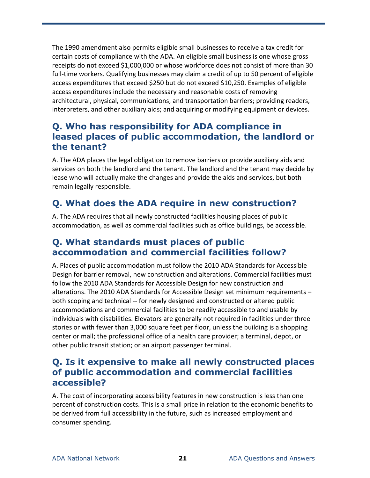The 1990 amendment also permits eligible small businesses to receive a tax credit for certain costs of compliance with the ADA. An eligible small business is one whose gross receipts do not exceed \$1,000,000 or whose workforce does not consist of more than 30 full-time workers. Qualifying businesses may claim a credit of up to 50 percent of eligible access expenditures that exceed \$250 but do not exceed \$10,250. Examples of eligible access expenditures include the necessary and reasonable costs of removing architectural, physical, communications, and transportation barriers; providing readers, interpreters, and other auxiliary aids; and acquiring or modifying equipment or devices.

## **Q. Who has responsibility for ADA compliance in leased places of public accommodation, the landlord or the tenant?**

A. The ADA places the legal obligation to remove barriers or provide auxiliary aids and services on both the landlord and the tenant. The landlord and the tenant may decide by lease who will actually make the changes and provide the aids and services, but both remain legally responsible.

## **Q. What does the ADA require in new construction?**

A. The ADA requires that all newly constructed facilities housing places of public accommodation, as well as commercial facilities such as office buildings, be accessible.

## **Q. What standards must places of public accommodation and commercial facilities follow?**

A. Places of public accommodation must follow the 2010 ADA Standards for Accessible Design for barrier removal, new construction and alterations. Commercial facilities must follow the 2010 ADA Standards for Accessible Design for new construction and alterations. The 2010 ADA Standards for Accessible Design set minimum requirements – both scoping and technical -- for newly designed and constructed or altered public accommodations and commercial facilities to be readily accessible to and usable by individuals with disabilities. Elevators are generally not required in facilities under three stories or with fewer than 3,000 square feet per floor, unless the building is a shopping center or mall; the professional office of a health care provider; a terminal, depot, or other public transit station; or an airport passenger terminal.

### **Q. Is it expensive to make all newly constructed places of public accommodation and commercial facilities accessible?**

A. The cost of incorporating accessibility features in new construction is less than one percent of construction costs. This is a small price in relation to the economic benefits to be derived from full accessibility in the future, such as increased employment and consumer spending.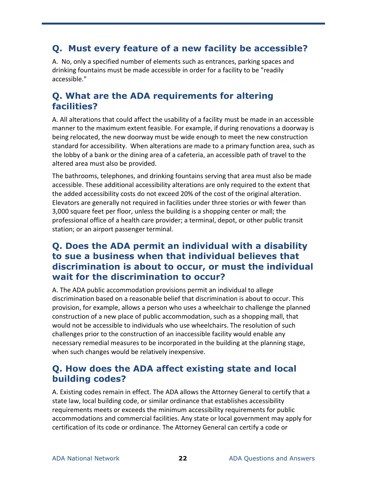## **Q. Must every feature of a new facility be accessible?**

A. No, only a specified number of elements such as entrances, parking spaces and drinking fountains must be made accessible in order for a facility to be "readily accessible."

## **Q. What are the ADA requirements for altering facilities?**

A. All alterations that could affect the usability of a facility must be made in an accessible manner to the maximum extent feasible. For example, if during renovations a doorway is being relocated, the new doorway must be wide enough to meet the new construction standard for accessibility. When alterations are made to a primary function area, such as the lobby of a bank or the dining area of a cafeteria, an accessible path of travel to the altered area must also be provided.

The bathrooms, telephones, and drinking fountains serving that area must also be made accessible. These additional accessibility alterations are only required to the extent that the added accessibility costs do not exceed 20% of the cost of the original alteration. Elevators are generally not required in facilities under three stories or with fewer than 3,000 square feet per floor, unless the building is a shopping center or mall; the professional office of a health care provider; a terminal, depot, or other public transit station; or an airport passenger terminal.

## **Q. Does the ADA permit an individual with a disability to sue a business when that individual believes that discrimination is about to occur, or must the individual wait for the discrimination to occur?**

A. The ADA public accommodation provisions permit an individual to allege discrimination based on a reasonable belief that discrimination is about to occur. This provision, for example, allows a person who uses a wheelchair to challenge the planned construction of a new place of public accommodation, such as a shopping mall, that would not be accessible to individuals who use wheelchairs. The resolution of such challenges prior to the construction of an inaccessible facility would enable any necessary remedial measures to be incorporated in the building at the planning stage, when such changes would be relatively inexpensive.

## **Q. How does the ADA affect existing state and local building codes?**

A. Existing codes remain in effect. The ADA allows the Attorney General to certify that a state law, local building code, or similar ordinance that establishes accessibility requirements meets or exceeds the minimum accessibility requirements for public accommodations and commercial facilities. Any state or local government may apply for certification of its code or ordinance. The Attorney General can certify a code or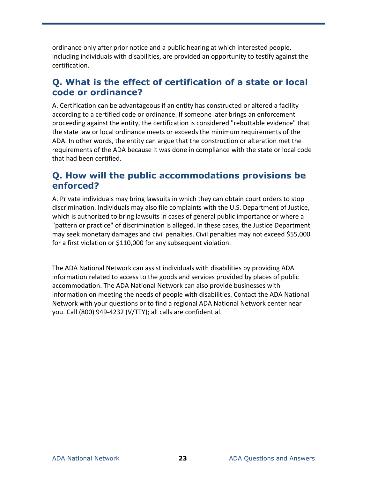ordinance only after prior notice and a public hearing at which interested people, including individuals with disabilities, are provided an opportunity to testify against the certification.

## **Q. What is the effect of certification of a state or local code or ordinance?**

A. Certification can be advantageous if an entity has constructed or altered a facility according to a certified code or ordinance. If someone later brings an enforcement proceeding against the entity, the certification is considered "rebuttable evidence" that the state law or local ordinance meets or exceeds the minimum requirements of the ADA. In other words, the entity can argue that the construction or alteration met the requirements of the ADA because it was done in compliance with the state or local code that had been certified.

#### **Q. How will the public accommodations provisions be enforced?**

A. Private individuals may bring lawsuits in which they can obtain court orders to stop discrimination. Individuals may also file complaints with the U.S. Department of Justice, which is authorized to bring lawsuits in cases of general public importance or where a "pattern or practice" of discrimination is alleged. In these cases, the Justice Department may seek monetary damages and civil penalties. Civil penalties may not exceed \$55,000 for a first violation or \$110,000 for any subsequent violation.

The ADA National Network can assist individuals with disabilities by providing ADA information related to access to the goods and services provided by places of public accommodation. The ADA National Network can also provide businesses with information on meeting the needs of people with disabilities. Contact the ADA National Network with your questions or to find a regional ADA National Network center near you. Call (800) 949-4232 (V/TTY); all calls are confidential.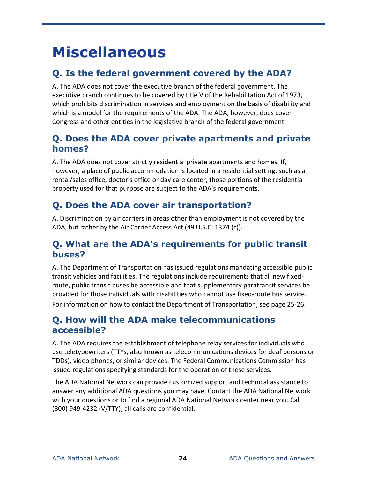## <span id="page-27-0"></span>**Miscellaneous**

## **Q. Is the federal government covered by the ADA?**

A. The ADA does not cover the executive branch of the federal government. The executive branch continues to be covered by title V of the Rehabilitation Act of 1973, which prohibits discrimination in services and employment on the basis of disability and which is a model for the requirements of the ADA. The ADA, however, does cover Congress and other entities in the legislative branch of the federal government.

## **Q. Does the ADA cover private apartments and private homes?**

A. The ADA does not cover strictly residential private apartments and homes. If, however, a place of public accommodation is located in a residential setting, such as a rental/sales office, doctor's office or day care center, those portions of the residential property used for that purpose are subject to the ADA's requirements.

## **Q. Does the ADA cover air transportation?**

A. Discrimination by air carriers in areas other than employment is not covered by the ADA, but rather by the Air Carrier Access Act (49 U.S.C. 1374 (c)).

## **Q. What are the ADA's requirements for public transit buses?**

A. The Department of Transportation has issued regulations mandating accessible public transit vehicles and facilities. The regulations include requirements that all new fixedroute, public transit buses be accessible and that supplementary paratransit services be provided for those individuals with disabilities who cannot use fixed-route bus service. For information on how to contact the Department of Transportation, see page 25-26.

### **Q. How will the ADA make telecommunications accessible?**

A. The ADA requires the establishment of telephone relay services for individuals who use teletypewriters (TTYs, also known as telecommunications devices for deaf persons or TDDs), video phones, or similar devices. The Federal Communications Commission has issued regulations specifying standards for the operation of these services.

The ADA National Network can provide customized support and technical assistance to answer any additional ADA questions you may have. Contact the ADA National Network with your questions or to find a regional ADA National Network center near you. Call (800) 949-4232 (V/TTY); all calls are confidential.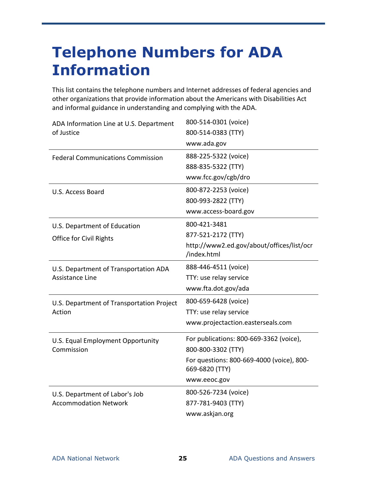## <span id="page-28-0"></span>**Telephone Numbers for ADA Information**

This list contains the telephone numbers and Internet addresses of federal agencies and other organizations that provide information about the Americans with Disabilities Act and informal guidance in understanding and complying with the ADA.

| ADA Information Line at U.S. Department<br>of Justice          | 800-514-0301 (voice)                                        |
|----------------------------------------------------------------|-------------------------------------------------------------|
|                                                                | 800-514-0383 (TTY)                                          |
|                                                                | www.ada.gov                                                 |
| <b>Federal Communications Commission</b>                       | 888-225-5322 (voice)                                        |
|                                                                | 888-835-5322 (TTY)                                          |
|                                                                | www.fcc.gov/cgb/dro                                         |
| U.S. Access Board                                              | 800-872-2253 (voice)                                        |
|                                                                | 800-993-2822 (TTY)                                          |
|                                                                | www.access-board.gov                                        |
| U.S. Department of Education                                   | 800-421-3481                                                |
| <b>Office for Civil Rights</b>                                 | 877-521-2172 (TTY)                                          |
|                                                                | http://www2.ed.gov/about/offices/list/ocr<br>/index.html    |
| U.S. Department of Transportation ADA<br>Assistance Line       | 888-446-4511 (voice)                                        |
|                                                                | TTY: use relay service                                      |
|                                                                | www.fta.dot.gov/ada                                         |
| U.S. Department of Transportation Project<br>Action            | 800-659-6428 (voice)                                        |
|                                                                | TTY: use relay service                                      |
|                                                                | www.projectaction.easterseals.com                           |
| U.S. Equal Employment Opportunity<br>Commission                | For publications: 800-669-3362 (voice),                     |
|                                                                | 800-800-3302 (TTY)                                          |
|                                                                | For questions: 800-669-4000 (voice), 800-<br>669-6820 (TTY) |
|                                                                | www.eeoc.gov                                                |
| U.S. Department of Labor's Job<br><b>Accommodation Network</b> | 800-526-7234 (voice)                                        |
|                                                                | 877-781-9403 (TTY)                                          |
|                                                                | www.askjan.org                                              |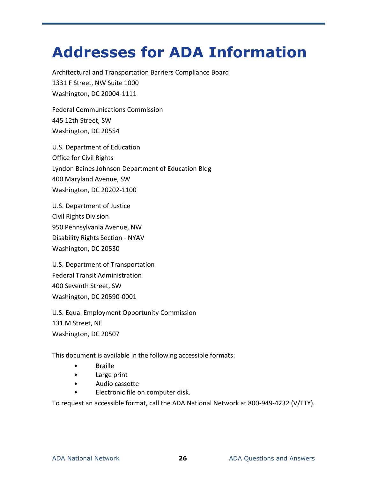## <span id="page-29-0"></span>**Addresses for ADA Information**

Architectural and Transportation Barriers Compliance Board 1331 F Street, NW Suite 1000 Washington, DC 20004-1111

Federal Communications Commission 445 12th Street, SW Washington, DC 20554

U.S. Department of Education Office for Civil Rights Lyndon Baines Johnson Department of Education Bldg 400 Maryland Avenue, SW Washington, DC 20202-1100

U.S. Department of Justice Civil Rights Division 950 Pennsylvania Avenue, NW Disability Rights Section - NYAV Washington, DC 20530

U.S. Department of Transportation Federal Transit Administration 400 Seventh Street, SW Washington, DC 20590-0001

U.S. Equal Employment Opportunity Commission 131 M Street, NE Washington, DC 20507

This document is available in the following accessible formats:

- **Braille**
- Large print
- Audio cassette
- Electronic file on computer disk.

To request an accessible format, call the ADA National Network at 800-949-4232 (V/TTY).